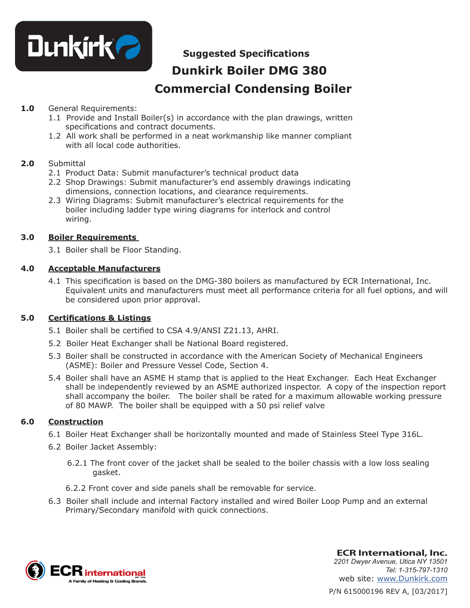

# **Suggested Specifications**

# **Dunkirk Boiler DMG 380 Commercial Condensing Boiler**

#### **1.0** General Requirements:

- 1.1 Provide and Install Boiler(s) in accordance with the plan drawings, written specifications and contract documents.
- 1.2 All work shall be performed in a neat workmanship like manner compliant with all local code authorities.

#### **2.0** Submittal

- 2.1 Product Data: Submit manufacturer's technical product data
- 2.2 Shop Drawings: Submit manufacturer's end assembly drawings indicating dimensions, connection locations, and clearance requirements.
- 2.3 Wiring Diagrams: Submit manufacturer's electrical requirements for the boiler including ladder type wiring diagrams for interlock and control wiring.

### **3.0 Boiler Requirements**

3.1 Boiler shall be Floor Standing.

#### **4.0 Acceptable Manufacturers**

4.1 This specification is based on the DMG-380 boilers as manufactured by ECR International, Inc. Equivalent units and manufacturers must meet all performance criteria for all fuel options, and will be considered upon prior approval.

# **5.0 Certifications & Listings**

- 5.1 Boiler shall be certified to CSA 4.9/ANSI Z21.13, AHRI.
- 5.2 Boiler Heat Exchanger shall be National Board registered.
- 5.3 Boiler shall be constructed in accordance with the American Society of Mechanical Engineers (ASME): Boiler and Pressure Vessel Code, Section 4.
- 5.4 Boiler shall have an ASME H stamp that is applied to the Heat Exchanger. Each Heat Exchanger shall be independently reviewed by an ASME authorized inspector. A copy of the inspection report shall accompany the boiler. The boiler shall be rated for a maximum allowable working pressure of 80 MAWP. The boiler shall be equipped with a 50 psi relief valve

#### **6.0 Construction**

- 6.1 Boiler Heat Exchanger shall be horizontally mounted and made of Stainless Steel Type 316L.
- 6.2 Boiler Jacket Assembly:
	- 6.2.1 The front cover of the jacket shall be sealed to the boiler chassis with a low loss sealing gasket.
	- 6.2.2 Front cover and side panels shall be removable for service.
- 6.3 Boiler shall include and internal Factory installed and wired Boiler Loop Pump and an external Primary/Secondary manifold with quick connections.



P/N 615000196 REV A, [03/2017] **ECR International, Inc.** *2201 Dwyer Avenue, Utica NY 13501 Tel: 1-315-797-1310* web site: www.Dunkirk.com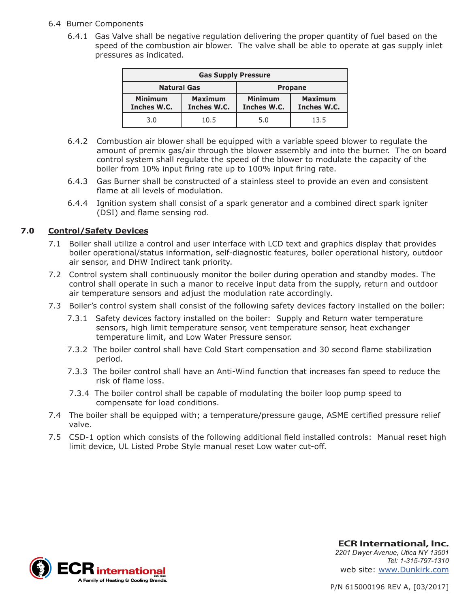#### 6.4 Burner Components

 6.4.1 Gas Valve shall be negative regulation delivering the proper quantity of fuel based on the speed of the combustion air blower. The valve shall be able to operate at gas supply inlet pressures as indicated.

| <b>Gas Supply Pressure</b>    |                               |                               |                               |
|-------------------------------|-------------------------------|-------------------------------|-------------------------------|
| <b>Natural Gas</b>            |                               | <b>Propane</b>                |                               |
| <b>Minimum</b><br>Inches W.C. | <b>Maximum</b><br>Inches W.C. | <b>Minimum</b><br>Inches W.C. | <b>Maximum</b><br>Inches W.C. |
| 3.0                           | 10.5                          | 5.0                           | 13.5                          |

- 6.4.2 Combustion air blower shall be equipped with a variable speed blower to regulate the amount of premix gas/air through the blower assembly and into the burner. The on board control system shall regulate the speed of the blower to modulate the capacity of the boiler from 10% input firing rate up to 100% input firing rate.
- 6.4.3 Gas Burner shall be constructed of a stainless steel to provide an even and consistent flame at all levels of modulation.
- 6.4.4 Ignition system shall consist of a spark generator and a combined direct spark igniter (DSI) and flame sensing rod.

#### **7.0 Control/Safety Devices**

- 7.1 Boiler shall utilize a control and user interface with LCD text and graphics display that provides boiler operational/status information, self-diagnostic features, boiler operational history, outdoor air sensor, and DHW Indirect tank priority.
- 7.2 Control system shall continuously monitor the boiler during operation and standby modes. The control shall operate in such a manor to receive input data from the supply, return and outdoor air temperature sensors and adjust the modulation rate accordingly.
- 7.3 Boiler's control system shall consist of the following safety devices factory installed on the boiler:
	- 7.3.1 Safety devices factory installed on the boiler: Supply and Return water temperature sensors, high limit temperature sensor, vent temperature sensor, heat exchanger temperature limit, and Low Water Pressure sensor.
	- 7.3.2 The boiler control shall have Cold Start compensation and 30 second flame stabilization period.
	- 7.3.3 The boiler control shall have an Anti-Wind function that increases fan speed to reduce the risk of flame loss.
	- 7.3.4 The boiler control shall be capable of modulating the boiler loop pump speed to compensate for load conditions.
- 7.4 The boiler shall be equipped with; a temperature/pressure gauge, ASME certified pressure relief valve.
- 7.5 CSD-1 option which consists of the following additional field installed controls: Manual reset high limit device, UL Listed Probe Style manual reset Low water cut-off.



**ECR International, Inc.** *2201 Dwyer Avenue, Utica NY 13501 Tel: 1-315-797-1310* web site: www.Dunkirk.com

P/N 615000196 REV A, [03/2017]